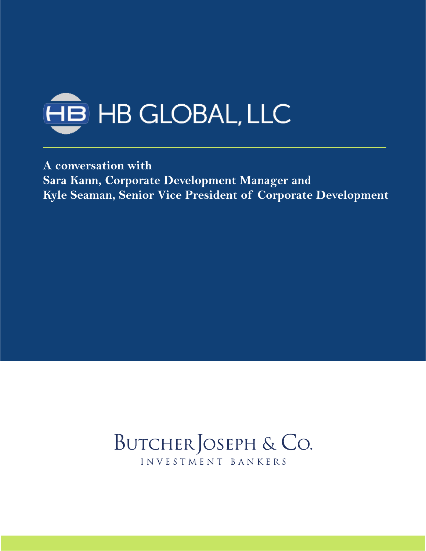

**A conversation with Sara Kann, Corporate Development Manager and Kyle Seaman, Senior Vice President of Corporate Development**

## BUTCHER JOSEPH & CO. INVESTMENT BANKERS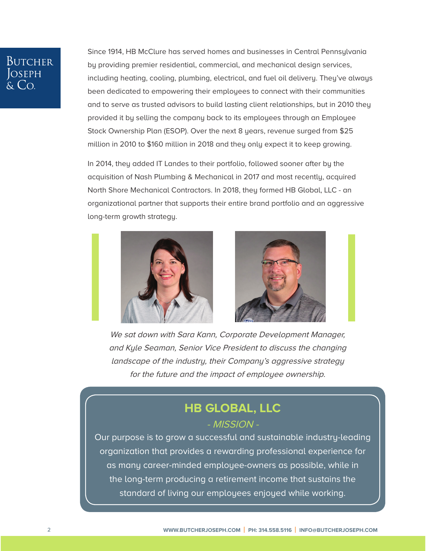## **BUTCHER**

Since 1914, [HB McClure h](http://bit.ly/2lXbdpA)as served homes and businesses in Central Pennsylvania by providing premier residential, commercial, and mechanical design services, including heating, cooling, plumbing, electrical, and fuel oil delivery. They've always been dedicated to empowering their employees to connect with their communities and to serve as trusted advisors to build lasting client relationships, but in 2010 they provided it by selling the company back to its employees through an Employee [Stock Ownership Plan \(ESOP\).](http://bit.ly/30WlZvO) Over the next 8 years, revenue surged from \$25 million in 2010 to \$160 million in 2018 and they only expect it to keep growing.

In 2014, they added [IT Landes](http://bit.ly/2kN9T8I) to their portfolio, followed sooner after by the acquisition of [Nash Plumbing & Mechanical](http://bit.ly/2kkgwPz) in 2017 and most recently, acquired [North Shore Mechanical Contractors.](http://bit.ly/2lX25Bm) In 2018, they formed HB Global, LLC - an organizational partner that supports their entire brand portfolio and an aggressive long-term growth strategy.





We sat down with Sara Kann, Corporate Development Manager, and Kyle Seaman, Senior Vice President to discuss the changing landscape of the industry, their Company's aggressive strategy for the future and the impact of employee ownership.

## **[HB GLOBAL, LLC](http://bit.ly/2lQHuPo)**

#### - MISSION -

Our purpose is to grow a successful and sustainable industry-leading organization that provides a rewarding professional experience for as many career-minded employee-owners as possible, while in the long-term producing a retirement income that sustains the standard of living our employees enjoyed while working.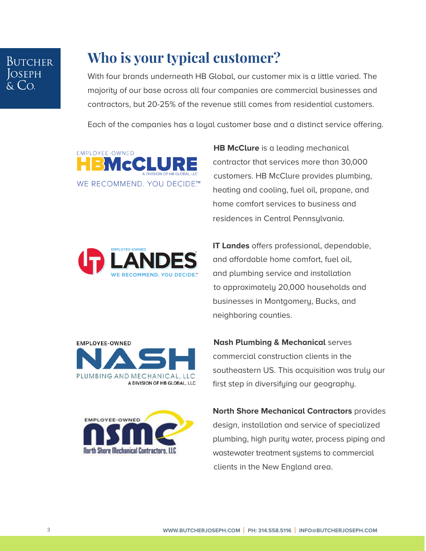# Butcher

## **Who is your typical customer?**

With four brands underneath [HB Global,](http://bit.ly/2lQHuPo) our customer mix is a little varied. The majority of our base across all four companies are commercial businesses and contractors, but 20-25% of the revenue still comes from residential customers.

Each of the companies has a loyal customer base and a distinct service offering.



 **[HB McClure](http://bit.ly/2lXbdpA)** is a leading mechanical contractor that services more than 30,000 customers. HB McClure provides plumbing, heating and cooling, fuel oil, propane, and home comfort services to business and residences in Central Pennsylvania.



 **[IT Landes](http://bit.ly/2kN9T8I)** offers professional, dependable, and affordable home comfort, fuel oil, and plumbing service and installation to approximately 20,000 households and businesses in Montgomery, Bucks, and neighboring counties.





 **[Nash Plumbing & Mechanical](http://bit.ly/2kkgwPz)** serves commercial construction clients in the southeastern US. This acquisition was truly our first step in diversifying our geography.

 **[North Shore Mechanical Contractors](http://bit.ly/2lX25Bm)** provides design, installation and service of specialized plumbing, high purity water, process piping and wastewater treatment systems to commercial clients in the New England area.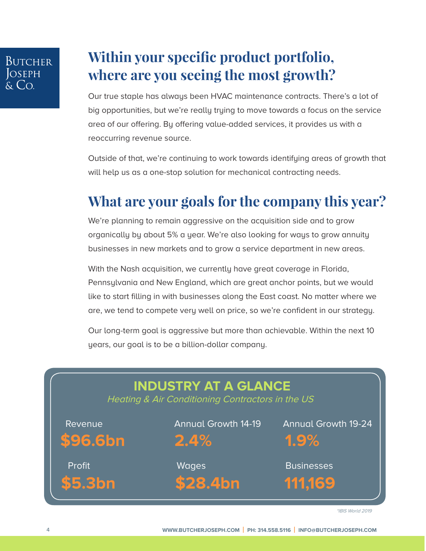### Butcher **OSEPH**  $\overline{C}$

## **Within your specific product portfolio, where are you seeing the most growth?**

Our true staple has always been HVAC maintenance contracts. There's a lot of big opportunities, but we're really trying to move towards a focus on the service area of our offering. By offering value-added services, it provides us with a reoccurring revenue source.

Outside of that, we're continuing to work towards identifying areas of growth that will help us as a one-stop solution for mechanical contracting needs.

### **What are your goals for the company this year?**

We're planning to remain aggressive on the acquisition side and to grow organically by about 5% a year. We're also looking for ways to grow annuity businesses in new markets and to grow a service department in new areas.

With the Nash acquisition, we currently have great coverage in Florida, Pennsylvania and New England, which are great anchor points, but we would like to start filling in with businesses along the East coast. No matter where we are, we tend to compete very well on price, so we're confident in our strategy.

Our long-term goal is aggressive but more than achievable. Within the next 10 years, our goal is to be a billion-dollar company.